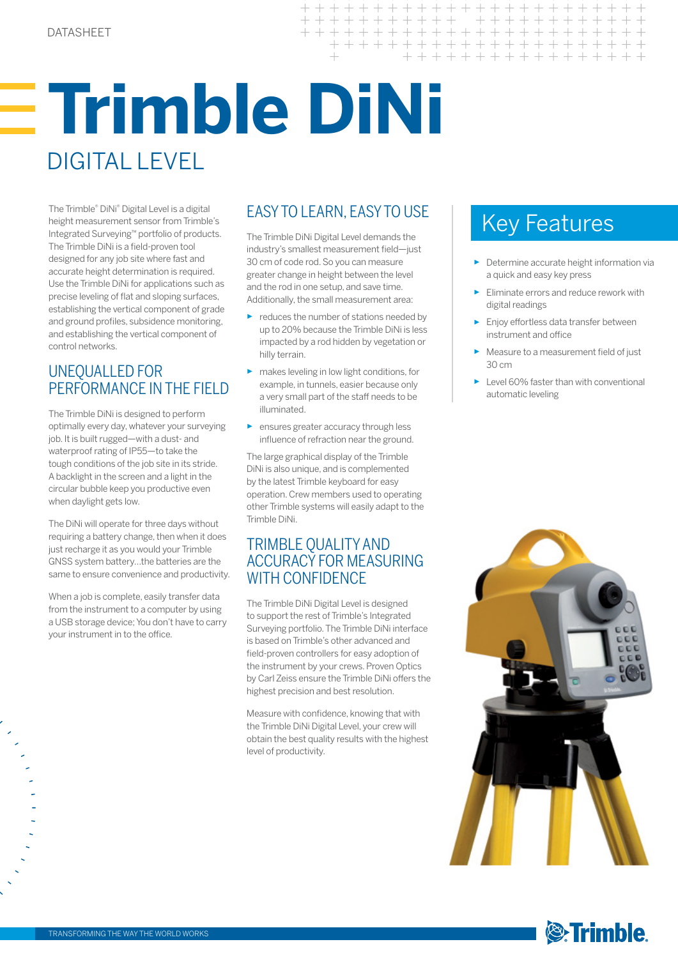# **Trimble DiNi** DIGITAL LEVEL

The Trimble® DiNi® Digital Level is a digital height measurement sensor from Trimble's Integrated Surveying™ portfolio of products. The Trimble DiNi is a field-proven tool designed for any job site where fast and accurate height determination is required. Use the Trimble DiNi for applications such as precise leveling of flat and sloping surfaces, establishing the vertical component of grade and ground profiles, subsidence monitoring, and establishing the vertical component of control networks.

### UNEQUALLED FOR PERFORMANCE IN THE FIELD

The Trimble DiNi is designed to perform optimally every day, whatever your surveying job. It is built rugged—with a dust- and waterproof rating of IP55—to take the tough conditions of the job site in its stride. A backlight in the screen and a light in the circular bubble keep you productive even when daylight gets low.

The DiNi will operate for three days without requiring a battery change, then when it does just recharge it as you would your Trimble GNSS system battery…the batteries are the same to ensure convenience and productivity.

When a job is complete, easily transfer data from the instrument to a computer by using a USB storage device; You don't have to carry your instrument in to the office.

## EASY TO LEARN, EASY TO USE

 $\perp$ 

 $+ + +$  $\!+$ 

 $+$ 

 $+$ 

 $+$ 

The Trimble DiNi Digital Level demands the industry's smallest measurement field—just 30 cm of code rod. So you can measure greater change in height between the level and the rod in one setup, and save time. Additionally, the small measurement area:

- ► reduces the number of stations needed by up to 20% because the Trimble DiNi is less impacted by a rod hidden by vegetation or hilly terrain.
- ► makes leveling in low light conditions, for example, in tunnels, easier because only a very small part of the staff needs to be illuminated.
- ► ensures greater accuracy through less influence of refraction near the ground.

The large graphical display of the Trimble DiNi is also unique, and is complemented by the latest Trimble keyboard for easy operation. Crew members used to operating other Trimble systems will easily adapt to the Trimble DiNi.

### TRIMBLE QUALITY AND ACCURACY FOR MEASURING WITH CONFIDENCE

The Trimble DiNi Digital Level is designed to support the rest of Trimble's Integrated Surveying portfolio. The Trimble DiNi interface is based on Trimble's other advanced and field-proven controllers for easy adoption of the instrument by your crews. Proven Optics by Carl Zeiss ensure the Trimble DiNi offers the highest precision and best resolution.

Measure with confidence, knowing that with the Trimble DiNi Digital Level, your crew will obtain the best quality results with the highest level of productivity.

# Key Features

+ + + + + + + + + + + + + + + +

 $\perp$ 

 $\perp$ 

+ + + + + + + + + + + + + + +

+ + + + + + + + + +

- ► Determine accurate height information via a quick and easy key press
- ► Eliminate errors and reduce rework with digital readings
- ► Enjoy effortless data transfer between instrument and office
- Measure to a measurement field of just 30 cm
- ► Level 60% faster than with conventional automatic leveling